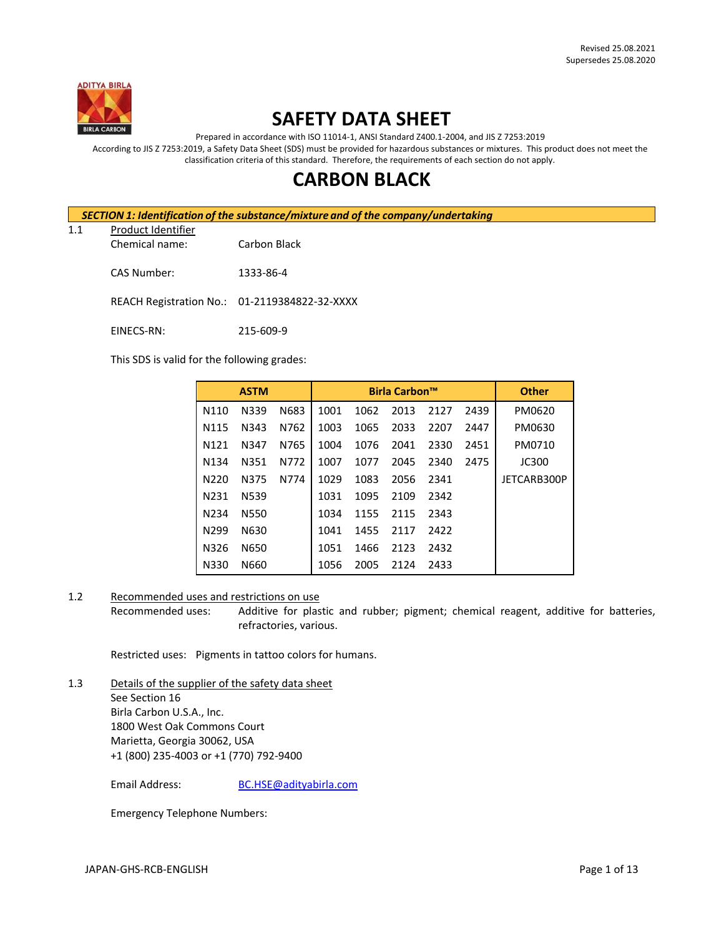

## **SAFETY DATA SHEET**

Prepared in accordance with ISO 11014-1, ANSI Standard Z400.1-2004, and JIS Z 7253:2019

According to JIS Z 7253:2019, a Safety Data Sheet (SDS) must be provided for hazardous substances or mixtures. This product does not meet the classification criteria of this standard. Therefore, the requirements of each section do not apply.

# **CARBON BLACK**

*SECTION 1: Identification of the substance/mixture and of the company/undertaking*

1.1 Product Identifier

Chemical name: Carbon Black

CAS Number: 1333-86-4

REACH Registration No.: 01-2119384822-32-XXXX

EINECS-RN: 215-609-9

This SDS is valid for the following grades:

|                   | <b>ASTM</b> |      |      | <b>Birla Carbon™</b> |      |      | <b>Other</b> |             |
|-------------------|-------------|------|------|----------------------|------|------|--------------|-------------|
| N110              | N339        | N683 | 1001 | 1062                 | 2013 | 2127 | 2439         | PM0620      |
| N <sub>115</sub>  | N343        | N762 | 1003 | 1065                 | 2033 | 2207 | 2447         | PM0630      |
| N <sub>121</sub>  | N347        | N765 | 1004 | 1076                 | 2041 | 2330 | 2451         | PM0710      |
| N <sub>1</sub> 34 | N351        | N772 | 1007 | 1077                 | 2045 | 2340 | 2475         | JC300       |
| N <sub>220</sub>  | N375        | N774 | 1029 | 1083                 | 2056 | 2341 |              | JETCARB300P |
| N <sub>2</sub> 31 | N539        |      | 1031 | 1095                 | 2109 | 2342 |              |             |
| N <sub>2</sub> 34 | <b>N550</b> |      | 1034 | 1155                 | 2115 | 2343 |              |             |
| N <sub>299</sub>  | N630        |      | 1041 | 1455                 | 2117 | 2422 |              |             |
| N326              | N650        |      | 1051 | 1466                 | 2123 | 2432 |              |             |
| N330              | N660        |      | 1056 | 2005                 | 2124 | 2433 |              |             |

#### 1.2 Recommended uses and restrictions on use

Recommended uses: Additive for plastic and rubber; pigment; chemical reagent, additive for batteries, refractories, various.

Restricted uses: Pigments in tattoo colors for humans.

1.3 Details of the supplier of the safety data sheet See Section 16 Birla Carbon U.S.A., Inc. 1800 West Oak Commons Court Marietta, Georgia 30062, USA +1 (800) 235-4003 or +1 (770) 792-9400

Email Address: [BC.HSE@adityabirla.com](mailto:BC.HSE@adityabirla.com)

Emergency Telephone Numbers: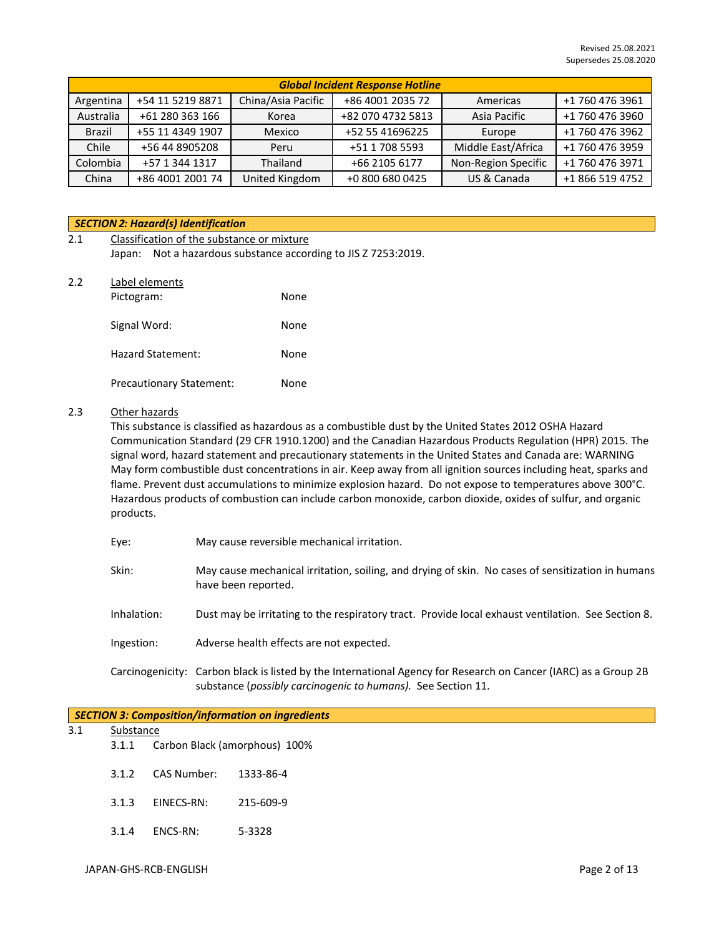| <b>Global Incident Response Hotline</b> |                  |                    |                   |                     |                 |
|-----------------------------------------|------------------|--------------------|-------------------|---------------------|-----------------|
| Argentina                               | +54 11 5219 8871 | China/Asia Pacific | +86 4001 2035 72  | Americas            | +1 760 476 3961 |
| Australia                               | +61 280 363 166  | Korea              | +82 070 4732 5813 | Asia Pacific        | +1 760 476 3960 |
| <b>Brazil</b>                           | +55 11 4349 1907 | Mexico             | +52 55 41696225   | Europe              | +1 760 476 3962 |
| Chile                                   | +56 44 8905208   | Peru               | +51 1 708 5593    | Middle East/Africa  | +1 760 476 3959 |
| Colombia                                | +57 1 344 1317   | Thailand           | +66 2105 6177     | Non-Region Specific | +1 760 476 3971 |
| China                                   | +86 4001 2001 74 | United Kingdom     | +0 800 680 0425   | US & Canada         | +1 866 519 4752 |

#### *SECTION 2: Hazard(s) Identification*

| 2.1 | Classification of the substance or mixture                     |  |  |  |
|-----|----------------------------------------------------------------|--|--|--|
|     | Japan: Not a hazardous substance according to JIS Z 7253:2019. |  |  |  |
| 2.2 | Label elements                                                 |  |  |  |

| Pictogram:                      | None |
|---------------------------------|------|
| Signal Word:                    | None |
| Hazard Statement:               | None |
| <b>Precautionary Statement:</b> | None |

#### 2.3 Other hazards

This substance is classified as hazardous as a combustible dust by the United States 2012 OSHA Hazard Communication Standard (29 CFR 1910.1200) and the Canadian Hazardous Products Regulation (HPR) 2015. The signal word, hazard statement and precautionary statements in the United States and Canada are: WARNING May form combustible dust concentrations in air. Keep away from all ignition sources including heat, sparks and flame. Prevent dust accumulations to minimize explosion hazard. Do not expose to temperatures above 300°C. Hazardous products of combustion can include carbon monoxide, carbon dioxide, oxides of sulfur, and organic products.

- Eye: May cause reversible mechanical irritation.
- Skin: May cause mechanical irritation, soiling, and drying of skin. No cases of sensitization in humans have been reported.
- Inhalation: Dust may be irritating to the respiratory tract. Provide local exhaust ventilation. See Section 8.
- Ingestion: Adverse health effects are not expected.

Carcinogenicity: Carbon black is listed by the International Agency for Research on Cancer (IARC) as a Group 2B substance (*possibly carcinogenic to humans).* See Section 11.

#### *SECTION 3: Composition/information on ingredients*

## 3.1 Substance

- 3.1.1 Carbon Black (amorphous) 100%
- 3.1.2 CAS Number: 1333-86-4
- 3.1.3 EINECS-RN: 215-609-9
- 3.1.4 ENCS-RN: 5-3328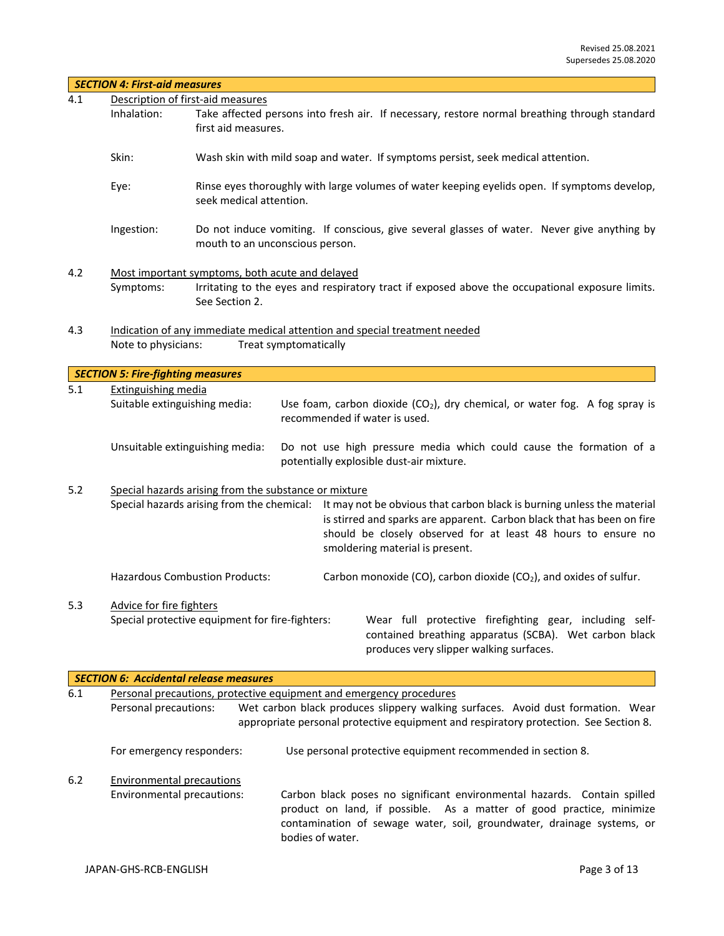|     | <b>SECTION 4: First-aid measures</b>     |                                                                                                                                                                                                                                                                                                 |  |  |  |  |
|-----|------------------------------------------|-------------------------------------------------------------------------------------------------------------------------------------------------------------------------------------------------------------------------------------------------------------------------------------------------|--|--|--|--|
| 4.1 |                                          | Description of first-aid measures                                                                                                                                                                                                                                                               |  |  |  |  |
|     | Inhalation:                              | Take affected persons into fresh air. If necessary, restore normal breathing through standard<br>first aid measures.                                                                                                                                                                            |  |  |  |  |
|     | Skin:                                    | Wash skin with mild soap and water. If symptoms persist, seek medical attention.                                                                                                                                                                                                                |  |  |  |  |
|     | Eye:                                     | Rinse eyes thoroughly with large volumes of water keeping eyelids open. If symptoms develop,<br>seek medical attention.                                                                                                                                                                         |  |  |  |  |
|     | Ingestion:                               | Do not induce vomiting. If conscious, give several glasses of water. Never give anything by<br>mouth to an unconscious person.                                                                                                                                                                  |  |  |  |  |
| 4.2 | Symptoms:                                | Most important symptoms, both acute and delayed<br>Irritating to the eyes and respiratory tract if exposed above the occupational exposure limits.<br>See Section 2.                                                                                                                            |  |  |  |  |
| 4.3 | Note to physicians:                      | Indication of any immediate medical attention and special treatment needed<br>Treat symptomatically                                                                                                                                                                                             |  |  |  |  |
|     | <b>SECTION 5: Fire-fighting measures</b> |                                                                                                                                                                                                                                                                                                 |  |  |  |  |
| 5.1 | <b>Extinguishing media</b>               |                                                                                                                                                                                                                                                                                                 |  |  |  |  |
|     | Suitable extinguishing media:            | Use foam, carbon dioxide $(CO2)$ , dry chemical, or water fog. A fog spray is<br>recommended if water is used.                                                                                                                                                                                  |  |  |  |  |
|     |                                          | Unsuitable extinguishing media:<br>Do not use high pressure media which could cause the formation of a<br>potentially explosible dust-air mixture.                                                                                                                                              |  |  |  |  |
| 5.2 |                                          | Special hazards arising from the substance or mixture                                                                                                                                                                                                                                           |  |  |  |  |
|     |                                          | Special hazards arising from the chemical: It may not be obvious that carbon black is burning unless the material<br>is stirred and sparks are apparent. Carbon black that has been on fire<br>should be closely observed for at least 48 hours to ensure no<br>smoldering material is present. |  |  |  |  |
|     |                                          | <b>Hazardous Combustion Products:</b><br>Carbon monoxide (CO), carbon dioxide (CO <sub>2</sub> ), and oxides of sulfur.                                                                                                                                                                         |  |  |  |  |
| 5.3 |                                          | Advice for fire fighters                                                                                                                                                                                                                                                                        |  |  |  |  |
|     |                                          | Special protective equipment for fire-fighters:<br>Wear full protective firefighting gear, including self-<br>contained breathing apparatus (SCBA). Wet carbon black<br>produces very slipper walking surfaces.                                                                                 |  |  |  |  |
|     |                                          | <b>SECTION 6: Accidental release measures</b>                                                                                                                                                                                                                                                   |  |  |  |  |
| 6.1 |                                          | Personal precautions, protective equipment and emergency procedures                                                                                                                                                                                                                             |  |  |  |  |
|     | Personal precautions:                    | Wet carbon black produces slippery walking surfaces. Avoid dust formation. Wear<br>appropriate personal protective equipment and respiratory protection. See Section 8.                                                                                                                         |  |  |  |  |
|     | For emergency responders:                | Use personal protective equipment recommended in section 8.                                                                                                                                                                                                                                     |  |  |  |  |
| 6.2 | <b>Environmental precautions</b>         |                                                                                                                                                                                                                                                                                                 |  |  |  |  |
|     | Environmental precautions:               | Carbon black poses no significant environmental hazards. Contain spilled                                                                                                                                                                                                                        |  |  |  |  |

bodies of water.

product on land, if possible. As a matter of good practice, minimize contamination of sewage water, soil, groundwater, drainage systems, or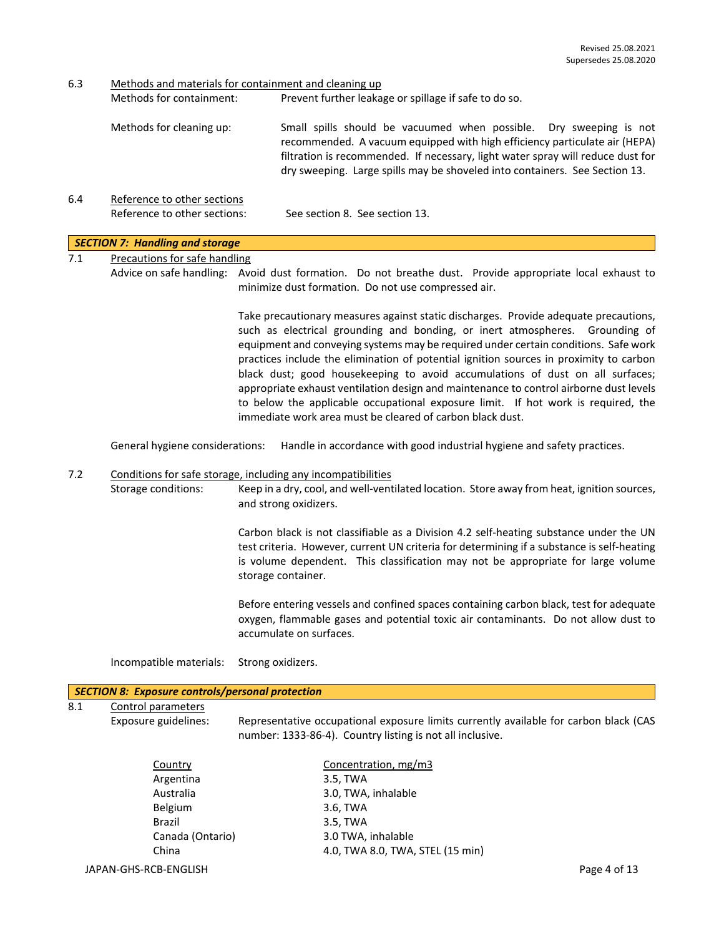6.3 Methods and materials for containment and cleaning up

| Methods for containment: | Prevent further leakage or spillage if safe to do so.                                                                                                                                                                                                                                                              |
|--------------------------|--------------------------------------------------------------------------------------------------------------------------------------------------------------------------------------------------------------------------------------------------------------------------------------------------------------------|
| Methods for cleaning up: | Small spills should be vacuumed when possible. Dry sweeping is not<br>recommended. A vacuum equipped with high efficiency particulate air (HEPA)<br>filtration is recommended. If necessary, light water spray will reduce dust for<br>dry sweeping. Large spills may be shoveled into containers. See Section 13. |
|                          |                                                                                                                                                                                                                                                                                                                    |

6.4 Reference to other sections Reference to other sections: See section 8. See section 13.

#### *SECTION 7: Handling and storage*

| Precautions for safe handling |
|-------------------------------|
|-------------------------------|

Advice on safe handling: Avoid dust formation. Do not breathe dust. Provide appropriate local exhaust to minimize dust formation. Do not use compressed air.

> Take precautionary measures against static discharges. Provide adequate precautions, such as electrical grounding and bonding, or inert atmospheres. Grounding of equipment and conveying systems may be required under certain conditions. Safe work practices include the elimination of potential ignition sources in proximity to carbon black dust; good housekeeping to avoid accumulations of dust on all surfaces; appropriate exhaust ventilation design and maintenance to control airborne dust levels to below the applicable occupational exposure limit. If hot work is required, the immediate work area must be cleared of carbon black dust.

General hygiene considerations: Handle in accordance with good industrial hygiene and safety practices.

## 7.2 Conditions for safe storage, including any incompatibilities

Storage conditions: Keep in a dry, cool, and well-ventilated location. Store away from heat, ignition sources, and strong oxidizers.

> Carbon black is not classifiable as a Division 4.2 self-heating substance under the UN test criteria. However, current UN criteria for determining if a substance is self-heating is volume dependent. This classification may not be appropriate for large volume storage container.

> Before entering vessels and confined spaces containing carbon black, test for adequate oxygen, flammable gases and potential toxic air contaminants. Do not allow dust to accumulate on surfaces.

Incompatible materials: Strong oxidizers.

#### *SECTION 8: Exposure controls/personal protection*

8.1 Control parameters

Exposure guidelines: Representative occupational exposure limits currently available for carbon black (CAS number: 1333-86-4). Country listing is not all inclusive.

| Country          | Concentration, mg/m3             |
|------------------|----------------------------------|
| Argentina        | 3.5, TWA                         |
| Australia        | 3.0, TWA, inhalable              |
| <b>Belgium</b>   | 3.6, TWA                         |
| <b>Brazil</b>    | 3.5, TWA                         |
| Canada (Ontario) | 3.0 TWA, inhalable               |
| China            | 4.0, TWA 8.0, TWA, STEL (15 min) |
|                  |                                  |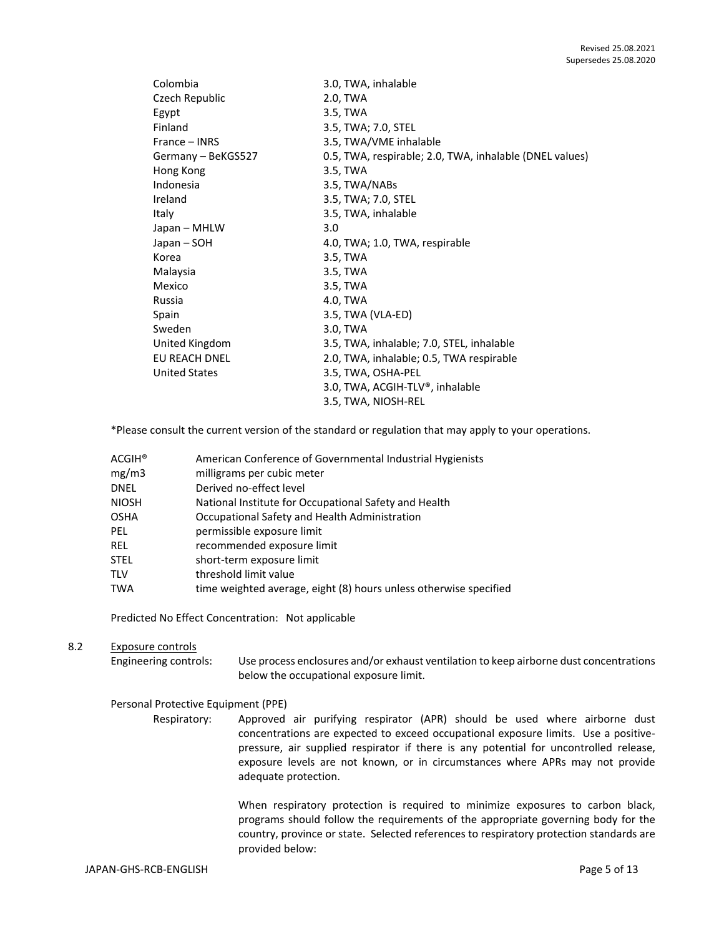| Colombia             | 3.0, TWA, inhalable                                     |
|----------------------|---------------------------------------------------------|
| Czech Republic       | 2.0, TWA                                                |
| Egypt                | 3.5, TWA                                                |
| Finland              | 3.5, TWA; 7.0, STEL                                     |
| France – INRS        | 3.5, TWA/VME inhalable                                  |
| Germany - BeKGS527   | 0.5, TWA, respirable; 2.0, TWA, inhalable (DNEL values) |
| Hong Kong            | 3.5, TWA                                                |
| Indonesia            | 3.5, TWA/NABs                                           |
| Ireland              | 3.5, TWA; 7.0, STEL                                     |
| Italy                | 3.5, TWA, inhalable                                     |
| Japan – MHLW         | 3.0                                                     |
| Japan – SOH          | 4.0, TWA; 1.0, TWA, respirable                          |
| Korea                | 3.5, TWA                                                |
| Malaysia             | 3.5, TWA                                                |
| Mexico               | 3.5, TWA                                                |
| Russia               | 4.0, TWA                                                |
| Spain                | 3.5, TWA (VLA-ED)                                       |
| Sweden               | 3.0, TWA                                                |
| United Kingdom       | 3.5, TWA, inhalable; 7.0, STEL, inhalable               |
| EU REACH DNEL        | 2.0, TWA, inhalable; 0.5, TWA respirable                |
| <b>United States</b> | 3.5, TWA, OSHA-PEL                                      |
|                      | 3.0, TWA, ACGIH-TLV®, inhalable                         |
|                      | 3.5, TWA, NIOSH-REL                                     |

\*Please consult the current version of the standard or regulation that may apply to your operations.

| ACGIH <sup>®</sup> | American Conference of Governmental Industrial Hygienists         |
|--------------------|-------------------------------------------------------------------|
| mg/m3              | milligrams per cubic meter                                        |
| <b>DNEL</b>        | Derived no-effect level                                           |
| <b>NIOSH</b>       | National Institute for Occupational Safety and Health             |
| <b>OSHA</b>        | Occupational Safety and Health Administration                     |
| PEL.               | permissible exposure limit                                        |
| REL                | recommended exposure limit                                        |
| <b>STEL</b>        | short-term exposure limit                                         |
| <b>TLV</b>         | threshold limit value                                             |
| <b>TWA</b>         | time weighted average, eight (8) hours unless otherwise specified |

Predicted No Effect Concentration: Not applicable

## 8.2 Exposure controls

Engineering controls: Use process enclosures and/or exhaust ventilation to keep airborne dust concentrations below the occupational exposure limit.

#### Personal Protective Equipment (PPE)

Respiratory: Approved air purifying respirator (APR) should be used where airborne dust concentrations are expected to exceed occupational exposure limits. Use a positivepressure, air supplied respirator if there is any potential for uncontrolled release, exposure levels are not known, or in circumstances where APRs may not provide adequate protection.

> When respiratory protection is required to minimize exposures to carbon black, programs should follow the requirements of the appropriate governing body for the country, province or state. Selected references to respiratory protection standards are provided below: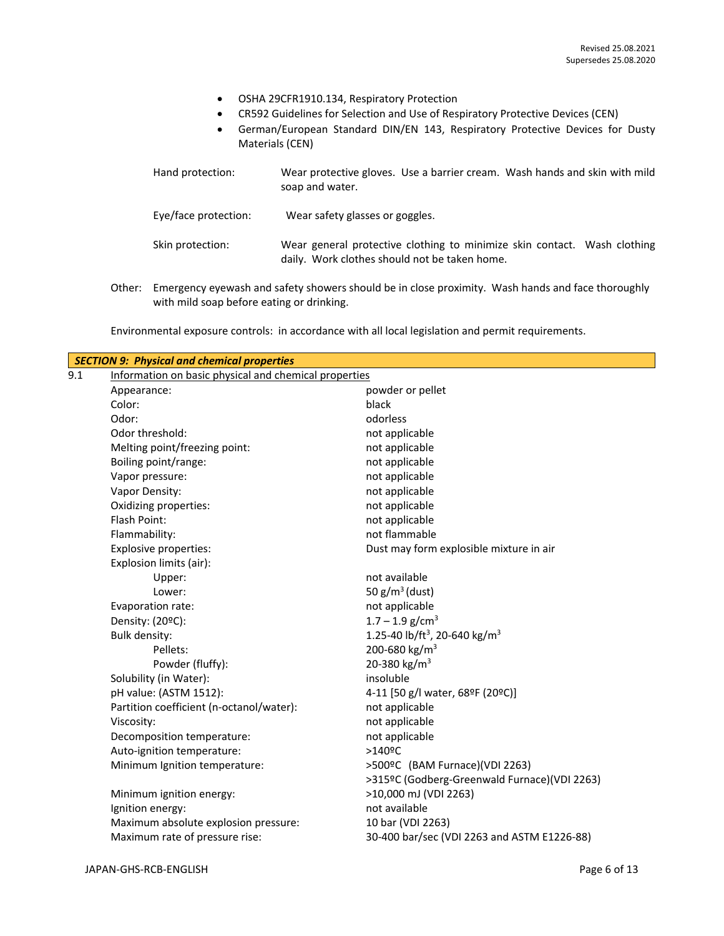- OSHA 29CFR1910.134, Respiratory Protection
- CR592 Guidelines for Selection and Use of Respiratory Protective Devices (CEN)
- German/European Standard DIN/EN 143, Respiratory Protective Devices for Dusty Materials (CEN)

| Hand protection:     | Wear protective gloves. Use a barrier cream. Wash hands and skin with mild<br>soap and water.                             |
|----------------------|---------------------------------------------------------------------------------------------------------------------------|
| Eye/face protection: | Wear safety glasses or goggles.                                                                                           |
| Skin protection:     | Wear general protective clothing to minimize skin contact. Wash clothing<br>daily. Work clothes should not be taken home. |

Other: Emergency eyewash and safety showers should be in close proximity. Wash hands and face thoroughly with mild soap before eating or drinking.

Environmental exposure controls: in accordance with all local legislation and permit requirements.

|                                                              | <b>SECTION 9: Physical and chemical properties</b> |                                                       |
|--------------------------------------------------------------|----------------------------------------------------|-------------------------------------------------------|
| 9.1<br>Information on basic physical and chemical properties |                                                    |                                                       |
|                                                              | Appearance:                                        | powder or pellet                                      |
|                                                              | Color:                                             | black                                                 |
|                                                              | Odor:                                              | odorless                                              |
|                                                              | Odor threshold:                                    | not applicable                                        |
|                                                              | Melting point/freezing point:                      | not applicable                                        |
|                                                              | Boiling point/range:                               | not applicable                                        |
|                                                              | Vapor pressure:                                    | not applicable                                        |
|                                                              | Vapor Density:                                     | not applicable                                        |
|                                                              | Oxidizing properties:                              | not applicable                                        |
|                                                              | Flash Point:                                       | not applicable                                        |
|                                                              | Flammability:                                      | not flammable                                         |
|                                                              | Explosive properties:                              | Dust may form explosible mixture in air               |
|                                                              | Explosion limits (air):                            |                                                       |
|                                                              | Upper:                                             | not available                                         |
|                                                              | Lower:                                             | 50 $g/m^3$ (dust)                                     |
|                                                              | Evaporation rate:                                  | not applicable                                        |
|                                                              | Density: (20°C):                                   | $1.7 - 1.9$ g/cm <sup>3</sup>                         |
|                                                              | Bulk density:                                      | 1.25-40 lb/ft <sup>3</sup> , 20-640 kg/m <sup>3</sup> |
|                                                              | Pellets:                                           | 200-680 kg/m <sup>3</sup>                             |
|                                                              | Powder (fluffy):                                   | 20-380 kg/m <sup>3</sup>                              |
|                                                              | Solubility (in Water):                             | insoluble                                             |
|                                                              | pH value: (ASTM 1512):                             | 4-11 [50 g/l water, 68ºF (20ºC)]                      |
|                                                              | Partition coefficient (n-octanol/water):           | not applicable                                        |
|                                                              | Viscosity:                                         | not applicable                                        |
|                                                              | Decomposition temperature:                         | not applicable                                        |
|                                                              | Auto-ignition temperature:                         | $>140$ <sup>o</sup> C                                 |
|                                                              | Minimum Ignition temperature:                      | >500ºC (BAM Furnace)(VDI 2263)                        |
|                                                              |                                                    | >315ºC (Godberg-Greenwald Furnace)(VDI 2263)          |
|                                                              | Minimum ignition energy:                           | >10,000 mJ (VDI 2263)                                 |
|                                                              | Ignition energy:                                   | not available                                         |
|                                                              | Maximum absolute explosion pressure:               | 10 bar (VDI 2263)                                     |
|                                                              | Maximum rate of pressure rise:                     | 30-400 bar/sec (VDI 2263 and ASTM E1226-88)           |
|                                                              |                                                    |                                                       |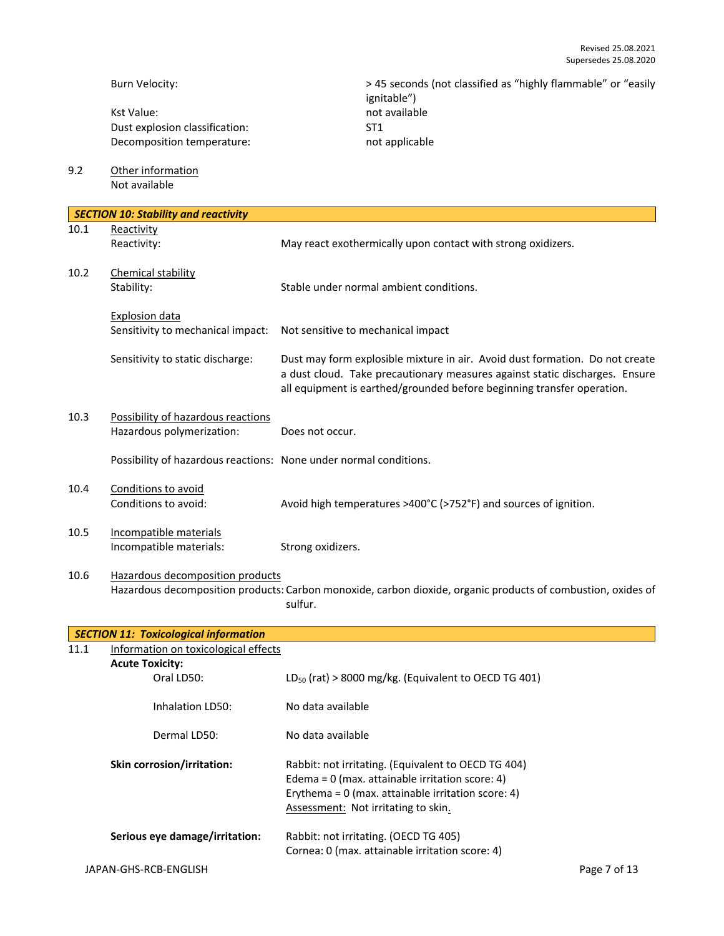Burn Velocity:  $> 45$  seconds (not classified as "highly flammable" or "easily ignitable") Kst Value: not available Dust explosion classification: ST1 Decomposition temperature: not applicable 9.2 Other information Not available *SECTION 10: Stability and reactivity* 10.1 Reactivity Reactivity: May react exothermically upon contact with strong oxidizers. 10.2 Chemical stability Stability: Stable under normal ambient conditions. Explosion data Sensitivity to mechanical impact: Not sensitive to mechanical impact Sensitivity to static discharge: Dust may form explosible mixture in air. Avoid dust formation. Do not create a dust cloud. Take precautionary measures against static discharges. Ensure all equipment is earthed/grounded before beginning transfer operation. 10.3 Possibility of hazardous reactions Hazardous polymerization: Does not occur. Possibility of hazardous reactions: None under normal conditions. 10.4 Conditions to avoid Conditions to avoid: Avoid high temperatures >400°C (>752°F) and sources of ignition. 10.5 Incompatible materials Incompatible materials: Strong oxidizers. 10.6 Hazardous decomposition products Hazardous decomposition products: Carbon monoxide, carbon dioxide, organic products of combustion, oxides of sulfur. *SECTION 11: Toxicological information*

| 11.1 | Information on toxicological effects |                                                                                                                                                                                                         |              |
|------|--------------------------------------|---------------------------------------------------------------------------------------------------------------------------------------------------------------------------------------------------------|--------------|
|      | <b>Acute Toxicity:</b>               |                                                                                                                                                                                                         |              |
|      | Oral LD50:                           | $LD_{50}$ (rat) > 8000 mg/kg. (Equivalent to OECD TG 401)                                                                                                                                               |              |
|      | Inhalation LD50:                     | No data available                                                                                                                                                                                       |              |
|      | Dermal LD50:                         | No data available                                                                                                                                                                                       |              |
|      | <b>Skin corrosion/irritation:</b>    | Rabbit: not irritating. (Equivalent to OECD TG 404)<br>Edema = $0$ (max. attainable irritation score: 4)<br>Erythema = $0$ (max. attainable irritation score: 4)<br>Assessment: Not irritating to skin. |              |
|      | Serious eye damage/irritation:       | Rabbit: not irritating. (OECD TG 405)<br>Cornea: 0 (max. attainable irritation score: 4)                                                                                                                |              |
|      | JAPAN-GHS-RCB-ENGLISH                |                                                                                                                                                                                                         | Page 7 of 13 |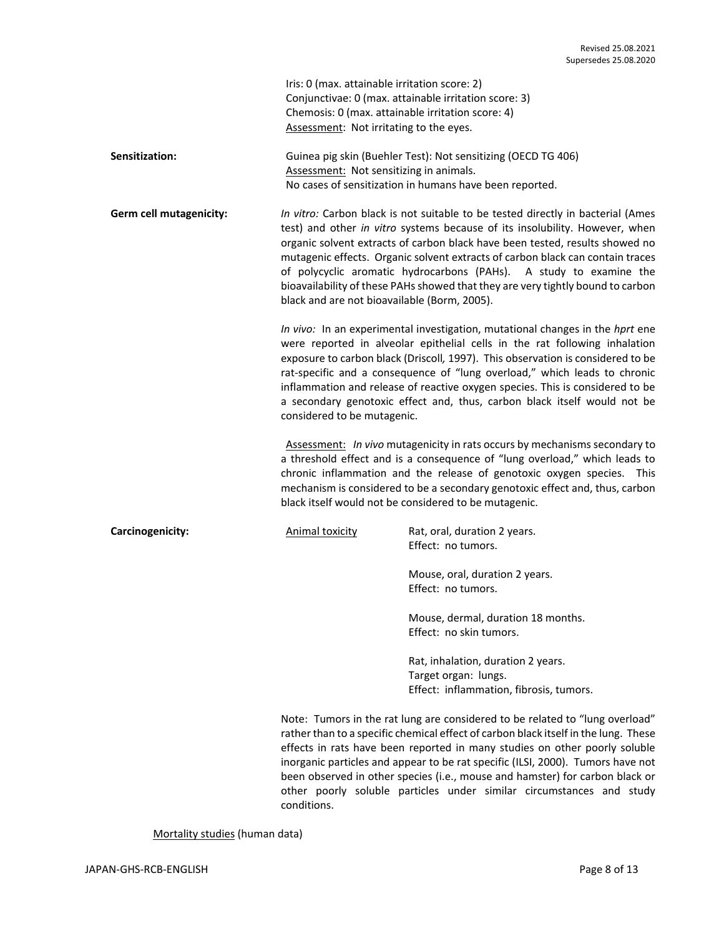|                         | Iris: 0 (max. attainable irritation score: 2)<br>Chemosis: 0 (max. attainable irritation score: 4)<br>Assessment: Not irritating to the eyes.                                                                                                                                                                                                                                                                                                                                                                           | Conjunctivae: 0 (max. attainable irritation score: 3)                                                                                                                                                                                                                                                                                                                                                                                                                                        |
|-------------------------|-------------------------------------------------------------------------------------------------------------------------------------------------------------------------------------------------------------------------------------------------------------------------------------------------------------------------------------------------------------------------------------------------------------------------------------------------------------------------------------------------------------------------|----------------------------------------------------------------------------------------------------------------------------------------------------------------------------------------------------------------------------------------------------------------------------------------------------------------------------------------------------------------------------------------------------------------------------------------------------------------------------------------------|
| Sensitization:          | Assessment: Not sensitizing in animals.                                                                                                                                                                                                                                                                                                                                                                                                                                                                                 | Guinea pig skin (Buehler Test): Not sensitizing (OECD TG 406)<br>No cases of sensitization in humans have been reported.                                                                                                                                                                                                                                                                                                                                                                     |
| Germ cell mutagenicity: | black and are not bioavailable (Borm, 2005).                                                                                                                                                                                                                                                                                                                                                                                                                                                                            | In vitro: Carbon black is not suitable to be tested directly in bacterial (Ames<br>test) and other in vitro systems because of its insolubility. However, when<br>organic solvent extracts of carbon black have been tested, results showed no<br>mutagenic effects. Organic solvent extracts of carbon black can contain traces<br>of polycyclic aromatic hydrocarbons (PAHs). A study to examine the<br>bioavailability of these PAHs showed that they are very tightly bound to carbon    |
|                         | In vivo: In an experimental investigation, mutational changes in the hprt ene<br>were reported in alveolar epithelial cells in the rat following inhalation<br>exposure to carbon black (Driscoll, 1997). This observation is considered to be<br>rat-specific and a consequence of "lung overload," which leads to chronic<br>inflammation and release of reactive oxygen species. This is considered to be<br>a secondary genotoxic effect and, thus, carbon black itself would not be<br>considered to be mutagenic. |                                                                                                                                                                                                                                                                                                                                                                                                                                                                                              |
|                         |                                                                                                                                                                                                                                                                                                                                                                                                                                                                                                                         | Assessment: In vivo mutagenicity in rats occurs by mechanisms secondary to<br>a threshold effect and is a consequence of "lung overload," which leads to<br>chronic inflammation and the release of genotoxic oxygen species. This<br>mechanism is considered to be a secondary genotoxic effect and, thus, carbon<br>black itself would not be considered to be mutagenic.                                                                                                                  |
| Carcinogenicity:        | <b>Animal toxicity</b>                                                                                                                                                                                                                                                                                                                                                                                                                                                                                                  | Rat, oral, duration 2 years.<br>Effect: no tumors.                                                                                                                                                                                                                                                                                                                                                                                                                                           |
|                         |                                                                                                                                                                                                                                                                                                                                                                                                                                                                                                                         | Mouse, oral, duration 2 years.<br>Effect: no tumors.                                                                                                                                                                                                                                                                                                                                                                                                                                         |
|                         |                                                                                                                                                                                                                                                                                                                                                                                                                                                                                                                         | Mouse, dermal, duration 18 months.<br>Effect: no skin tumors.                                                                                                                                                                                                                                                                                                                                                                                                                                |
|                         |                                                                                                                                                                                                                                                                                                                                                                                                                                                                                                                         | Rat, inhalation, duration 2 years.<br>Target organ: lungs.<br>Effect: inflammation, fibrosis, tumors.                                                                                                                                                                                                                                                                                                                                                                                        |
|                         | conditions.                                                                                                                                                                                                                                                                                                                                                                                                                                                                                                             | Note: Tumors in the rat lung are considered to be related to "lung overload"<br>rather than to a specific chemical effect of carbon black itself in the lung. These<br>effects in rats have been reported in many studies on other poorly soluble<br>inorganic particles and appear to be rat specific (ILSI, 2000). Tumors have not<br>been observed in other species (i.e., mouse and hamster) for carbon black or<br>other poorly soluble particles under similar circumstances and study |

Mortality studies (human data)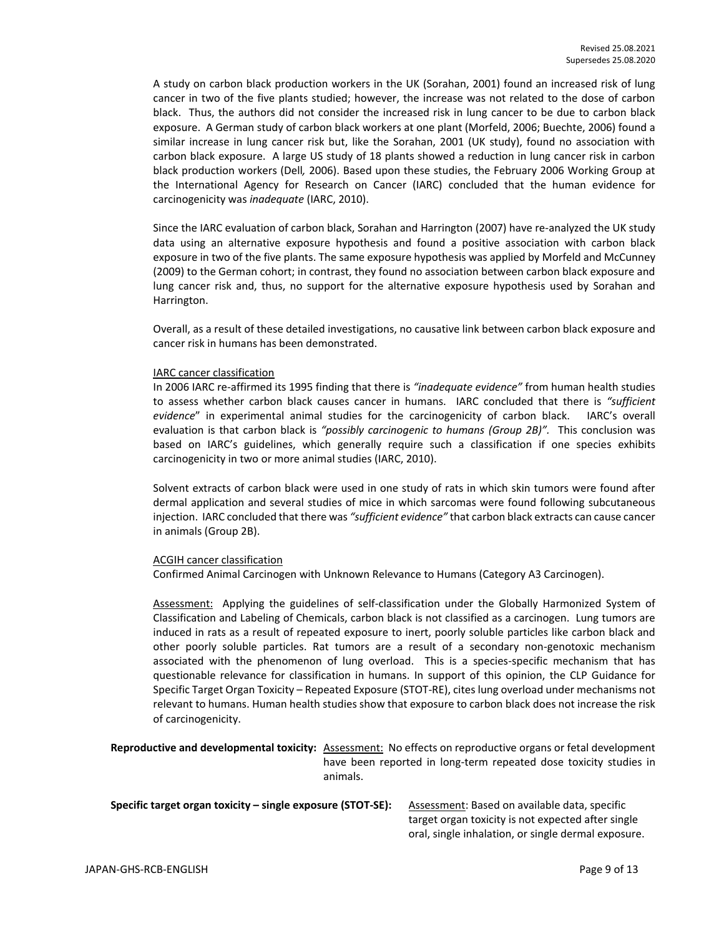A study on carbon black production workers in the UK (Sorahan, 2001) found an increased risk of lung cancer in two of the five plants studied; however, the increase was not related to the dose of carbon black. Thus, the authors did not consider the increased risk in lung cancer to be due to carbon black exposure. A German study of carbon black workers at one plant (Morfeld, 2006; Buechte, 2006) found a similar increase in lung cancer risk but, like the Sorahan, 2001 (UK study), found no association with carbon black exposure. A large US study of 18 plants showed a reduction in lung cancer risk in carbon black production workers (Dell*,* 2006). Based upon these studies, the February 2006 Working Group at the International Agency for Research on Cancer (IARC) concluded that the human evidence for carcinogenicity was *inadequate* (IARC, 2010).

Since the IARC evaluation of carbon black, Sorahan and Harrington (2007) have re-analyzed the UK study data using an alternative exposure hypothesis and found a positive association with carbon black exposure in two of the five plants. The same exposure hypothesis was applied by Morfeld and McCunney (2009) to the German cohort; in contrast, they found no association between carbon black exposure and lung cancer risk and, thus, no support for the alternative exposure hypothesis used by Sorahan and Harrington.

Overall, as a result of these detailed investigations, no causative link between carbon black exposure and cancer risk in humans has been demonstrated.

#### IARC cancer classification

In 2006 IARC re-affirmed its 1995 finding that there is *"inadequate evidence"* from human health studies to assess whether carbon black causes cancer in humans. IARC concluded that there is *"sufficient evidence*" in experimental animal studies for the carcinogenicity of carbon black. IARC's overall evaluation is that carbon black is *"possibly carcinogenic to humans (Group 2B)".* This conclusion was based on IARC's guidelines, which generally require such a classification if one species exhibits carcinogenicity in two or more animal studies (IARC, 2010).

Solvent extracts of carbon black were used in one study of rats in which skin tumors were found after dermal application and several studies of mice in which sarcomas were found following subcutaneous injection. IARC concluded that there was *"sufficient evidence"* that carbon black extracts can cause cancer in animals (Group 2B).

#### ACGIH cancer classification

Confirmed Animal Carcinogen with Unknown Relevance to Humans (Category A3 Carcinogen).

Assessment: Applying the guidelines of self-classification under the Globally Harmonized System of Classification and Labeling of Chemicals, carbon black is not classified as a carcinogen. Lung tumors are induced in rats as a result of repeated exposure to inert, poorly soluble particles like carbon black and other poorly soluble particles. Rat tumors are a result of a secondary non-genotoxic mechanism associated with the phenomenon of lung overload. This is a species-specific mechanism that has questionable relevance for classification in humans. In support of this opinion, the CLP Guidance for Specific Target Organ Toxicity – Repeated Exposure (STOT-RE), cites lung overload under mechanisms not relevant to humans. Human health studies show that exposure to carbon black does not increase the risk of carcinogenicity.

**Reproductive and developmental toxicity:** Assessment: No effects on reproductive organs or fetal development have been reported in long-term repeated dose toxicity studies in animals.

| Specific target organ toxicity – single exposure (STOT-SE): | Assessment: Based on available data, specific       |  |
|-------------------------------------------------------------|-----------------------------------------------------|--|
|                                                             | target organ toxicity is not expected after single  |  |
|                                                             | oral, single inhalation, or single dermal exposure. |  |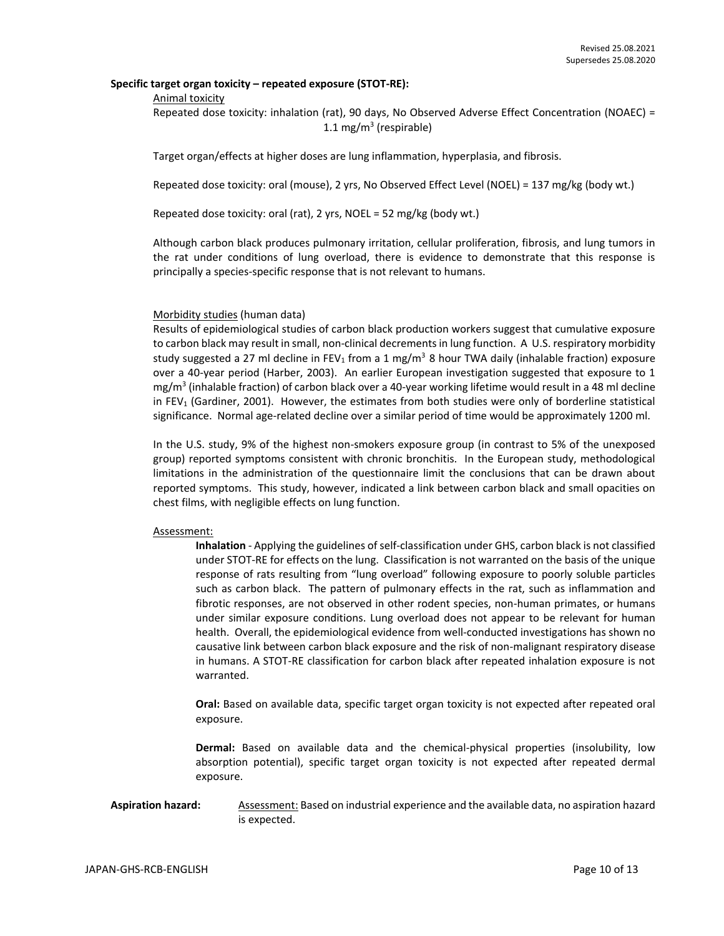#### **Specific target organ toxicity – repeated exposure (STOT-RE):**

#### Animal toxicity

Repeated dose toxicity: inhalation (rat), 90 days, No Observed Adverse Effect Concentration (NOAEC) = 1.1 mg/m<sup>3</sup> (respirable)

Target organ/effects at higher doses are lung inflammation, hyperplasia, and fibrosis.

Repeated dose toxicity: oral (mouse), 2 yrs, No Observed Effect Level (NOEL) = 137 mg/kg (body wt.)

Repeated dose toxicity: oral (rat), 2 yrs, NOEL = 52 mg/kg (body wt.)

Although carbon black produces pulmonary irritation, cellular proliferation, fibrosis, and lung tumors in the rat under conditions of lung overload, there is evidence to demonstrate that this response is principally a species-specific response that is not relevant to humans.

#### Morbidity studies (human data)

Results of epidemiological studies of carbon black production workers suggest that cumulative exposure to carbon black may result in small, non-clinical decrements in lung function. A U.S. respiratory morbidity study suggested a 27 ml decline in FEV<sub>1</sub> from a 1 mg/m<sup>3</sup> 8 hour TWA daily (inhalable fraction) exposure over a 40-year period (Harber, 2003). An earlier European investigation suggested that exposure to 1 mg/m<sup>3</sup> (inhalable fraction) of carbon black over a 40-year working lifetime would result in a 48 ml decline in FEV<sub>1</sub> (Gardiner, 2001). However, the estimates from both studies were only of borderline statistical significance. Normal age-related decline over a similar period of time would be approximately 1200 ml.

In the U.S. study, 9% of the highest non-smokers exposure group (in contrast to 5% of the unexposed group) reported symptoms consistent with chronic bronchitis. In the European study, methodological limitations in the administration of the questionnaire limit the conclusions that can be drawn about reported symptoms. This study, however, indicated a link between carbon black and small opacities on chest films, with negligible effects on lung function.

#### Assessment:

**Inhalation** - Applying the guidelines of self-classification under GHS, carbon black is not classified under STOT-RE for effects on the lung. Classification is not warranted on the basis of the unique response of rats resulting from "lung overload" following exposure to poorly soluble particles such as carbon black. The pattern of pulmonary effects in the rat, such as inflammation and fibrotic responses, are not observed in other rodent species, non-human primates, or humans under similar exposure conditions. Lung overload does not appear to be relevant for human health. Overall, the epidemiological evidence from well-conducted investigations has shown no causative link between carbon black exposure and the risk of non-malignant respiratory disease in humans. A STOT-RE classification for carbon black after repeated inhalation exposure is not warranted.

**Oral:** Based on available data, specific target organ toxicity is not expected after repeated oral exposure.

**Dermal:** Based on available data and the chemical-physical properties (insolubility, low absorption potential), specific target organ toxicity is not expected after repeated dermal exposure.

#### Aspiration hazard: Assessment: Based on industrial experience and the available data, no aspiration hazard is expected.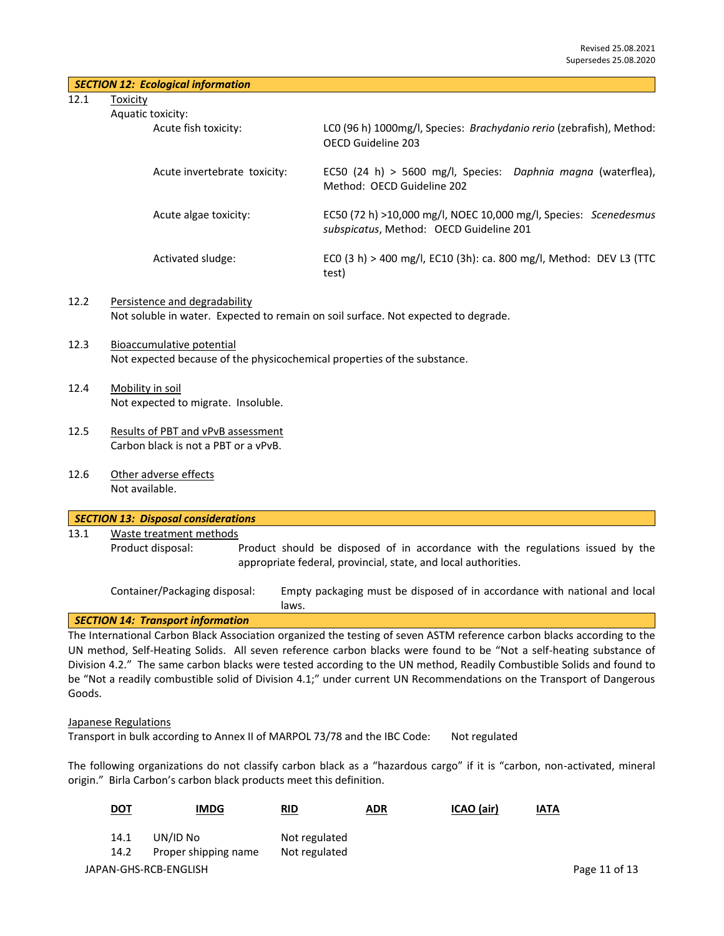| SECTION 12: Ecological information |  |  |
|------------------------------------|--|--|
|------------------------------------|--|--|

12.1 Toxicity

| Aquatic toxi |  |
|--------------|--|

| tic toxicity:                |                                                                                                             |
|------------------------------|-------------------------------------------------------------------------------------------------------------|
| Acute fish toxicity:         | LCO (96 h) 1000mg/l, Species: Brachydanio rerio (zebrafish), Method:<br>OFCD Guideline 203                  |
| Acute invertebrate toxicity: | EC50 (24 h) > 5600 mg/l, Species: Daphnia magna (waterflea),<br>Method: OFCD Guideline 202                  |
| Acute algae toxicity:        | EC50 (72 h) >10,000 mg/l, NOEC 10,000 mg/l, Species: Scenedesmus<br>subspicatus, Method: OECD Guideline 201 |
| Activated sludge:            | ECO (3 h) > 400 mg/l, EC10 (3h): ca. 800 mg/l, Method: DEV L3 (TTC<br>test)                                 |

- 12.2 Persistence and degradability Not soluble in water. Expected to remain on soil surface. Not expected to degrade.
- 12.3 Bioaccumulative potential Not expected because of the physicochemical properties of the substance.
- 12.4 Mobility in soil Not expected to migrate. Insoluble.
- 12.5 Results of PBT and vPvB assessment Carbon black is not a PBT or a vPvB.
- 12.6 Other adverse effects Not available.

|                   | <b>SECTION 13: Disposal considerations</b> |  |                                                                                                                                                  |  |  |  |  |
|-------------------|--------------------------------------------|--|--------------------------------------------------------------------------------------------------------------------------------------------------|--|--|--|--|
| 13.1              | Waste treatment methods                    |  |                                                                                                                                                  |  |  |  |  |
| Product disposal: |                                            |  | Product should be disposed of in accordance with the regulations issued by the<br>appropriate federal, provincial, state, and local authorities. |  |  |  |  |
|                   | Container/Packaging disposal:              |  | Empty packaging must be disposed of in accordance with national and local<br>laws.                                                               |  |  |  |  |

## *SECTION 14: Transport information*

The International Carbon Black Association organized the testing of seven ASTM reference carbon blacks according to the UN method, Self-Heating Solids. All seven reference carbon blacks were found to be "Not a self-heating substance of Division 4.2." The same carbon blacks were tested according to the UN method, Readily Combustible Solids and found to be "Not a readily combustible solid of Division 4.1;" under current UN Recommendations on the Transport of Dangerous Goods.

#### Japanese Regulations

Transport in bulk according to Annex II of MARPOL 73/78 and the IBC Code: Not regulated

The following organizations do not classify carbon black as a "hazardous cargo" if it is "carbon, non-activated, mineral origin." Birla Carbon's carbon black products meet this definition.

| <u>DOT</u> | <b>IMDG</b>           | <b>RID</b>    | <b>ADR</b> | ICAO (air) | <b>IATA</b>   |
|------------|-----------------------|---------------|------------|------------|---------------|
| 14.1       | UN/ID No              | Not regulated |            |            |               |
| 14.2       | Proper shipping name  | Not regulated |            |            |               |
|            | JAPAN-GHS-RCB-ENGLISH |               |            |            | Page 11 of 13 |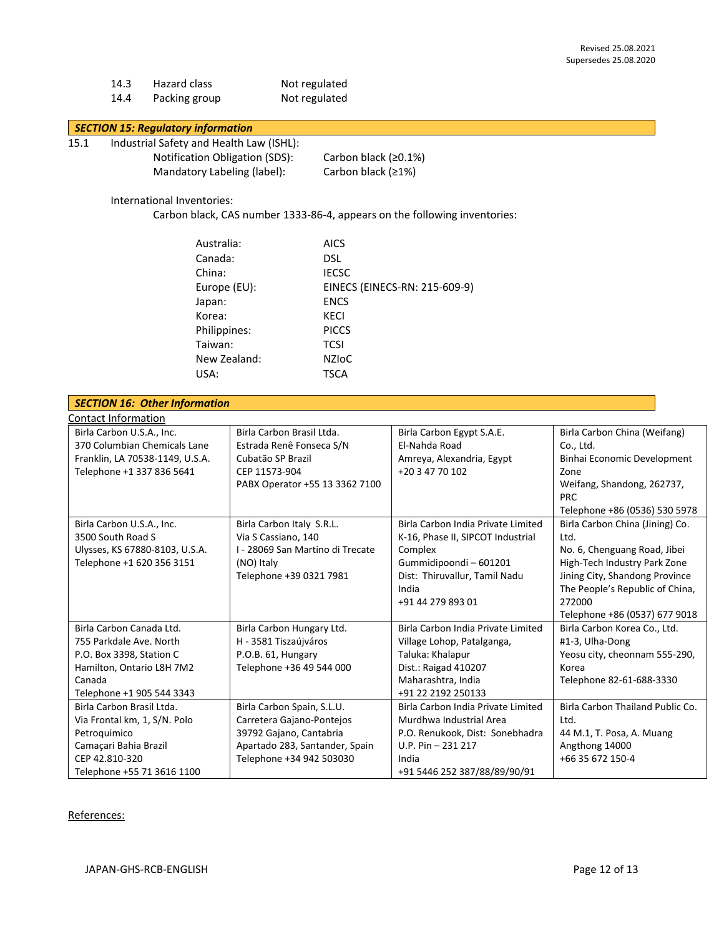| 14.3 | Hazard class  | Not regulated |
|------|---------------|---------------|
| 14.4 | Packing group | Not regulated |

## *SECTION 15: Regulatory information*

- 15.1 Industrial Safety and Health Law (ISHL):
	- Notification Obligation (SDS): Carbon black (≥0.1%) Mandatory Labeling (label): Carbon black (≥1%)

#### International Inventories:

Carbon black, CAS number 1333-86-4, appears on the following inventories:

| Australia:   | <b>AICS</b>                   |
|--------------|-------------------------------|
| Canada:      | DSL.                          |
| China:       | <b>IECSC</b>                  |
| Europe (EU): | EINECS (EINECS-RN: 215-609-9) |
| Japan:       | <b>ENCS</b>                   |
| Korea:       | <b>KECI</b>                   |
| Philippines: | <b>PICCS</b>                  |
| Taiwan:      | <b>TCSI</b>                   |
| New Zealand: | <b>NZIOC</b>                  |
| USA:         | TSCA                          |

|                                                                                                                                                                                                                  | <b>SECTION 16: Other Information</b>                                                                                      |                                                                                                                                                                 |                                                                                                                                                                                                                           |                                                                                                                                                                                                                                                          |  |  |  |
|------------------------------------------------------------------------------------------------------------------------------------------------------------------------------------------------------------------|---------------------------------------------------------------------------------------------------------------------------|-----------------------------------------------------------------------------------------------------------------------------------------------------------------|---------------------------------------------------------------------------------------------------------------------------------------------------------------------------------------------------------------------------|----------------------------------------------------------------------------------------------------------------------------------------------------------------------------------------------------------------------------------------------------------|--|--|--|
|                                                                                                                                                                                                                  | <b>Contact Information</b>                                                                                                |                                                                                                                                                                 |                                                                                                                                                                                                                           |                                                                                                                                                                                                                                                          |  |  |  |
|                                                                                                                                                                                                                  | Birla Carbon U.S.A., Inc.<br>370 Columbian Chemicals Lane<br>Franklin, LA 70538-1149, U.S.A.<br>Telephone +1 337 836 5641 | Birla Carbon Brasil Ltda.<br>Estrada Renê Fonseca S/N<br>Cubatão SP Brazil<br>CEP 11573-904<br>PABX Operator +55 13 3362 7100                                   | Birla Carbon Egypt S.A.E.<br>El-Nahda Road<br>Amreya, Alexandria, Egypt<br>+20 3 47 70 102                                                                                                                                | Birla Carbon China (Weifang)<br>Co., Ltd.<br>Binhai Economic Development<br>Zone<br>Weifang, Shandong, 262737,<br><b>PRC</b>                                                                                                                             |  |  |  |
|                                                                                                                                                                                                                  | Birla Carbon U.S.A., Inc.<br>3500 South Road S<br>Ulysses, KS 67880-8103, U.S.A.<br>Telephone +1 620 356 3151             | Birla Carbon Italy S.R.L.<br>Via S Cassiano, 140<br>I - 28069 San Martino di Trecate<br>(NO) Italy<br>Telephone +39 0321 7981                                   | Birla Carbon India Private Limited<br>K-16, Phase II, SIPCOT Industrial<br>Complex<br>Gummidipoondi - 601201<br>Dist: Thiruvallur, Tamil Nadu<br>India<br>+91 44 279 893 01                                               | Telephone +86 (0536) 530 5978<br>Birla Carbon China (Jining) Co.<br>Ltd.<br>No. 6, Chenguang Road, Jibei<br>High-Tech Industry Park Zone<br>Jining City, Shandong Province<br>The People's Republic of China,<br>272000<br>Telephone +86 (0537) 677 9018 |  |  |  |
| Birla Carbon Canada Ltd.<br>755 Parkdale Ave. North<br>P.O. Box 3398, Station C<br>Hamilton, Ontario L8H 7M2<br>Canada<br>Telephone +1 905 544 3343<br>Birla Carbon Brasil Ltda.<br>Via Frontal km, 1, S/N. Polo |                                                                                                                           | Birla Carbon Hungary Ltd.<br>H - 3581 Tiszaújváros<br>P.O.B. 61, Hungary<br>Telephone +36 49 544 000<br>Birla Carbon Spain, S.L.U.<br>Carretera Gajano-Pontejos | Birla Carbon India Private Limited<br>Village Lohop, Patalganga,<br>Taluka: Khalapur<br>Dist.: Raigad 410207<br>Maharashtra, India<br>+91 22 2192 250133<br>Birla Carbon India Private Limited<br>Murdhwa Industrial Area | Birla Carbon Korea Co., Ltd.<br>#1-3, Ulha-Dong<br>Yeosu city, cheonnam 555-290,<br>Korea<br>Telephone 82-61-688-3330<br>Birla Carbon Thailand Public Co.<br>Ltd.                                                                                        |  |  |  |
|                                                                                                                                                                                                                  | Petroquimico<br>Camaçari Bahia Brazil<br>CEP 42.810-320<br>Telephone +55 71 3616 1100                                     | 39792 Gajano, Cantabria<br>Apartado 283, Santander, Spain<br>Telephone +34 942 503030                                                                           | P.O. Renukook, Dist: Sonebhadra<br>$U.P. Pin - 231217$<br>India<br>+91 5446 252 387/88/89/90/91                                                                                                                           | 44 M.1, T. Posa, A. Muang<br>Angthong 14000<br>+66 35 672 150-4                                                                                                                                                                                          |  |  |  |

#### References: